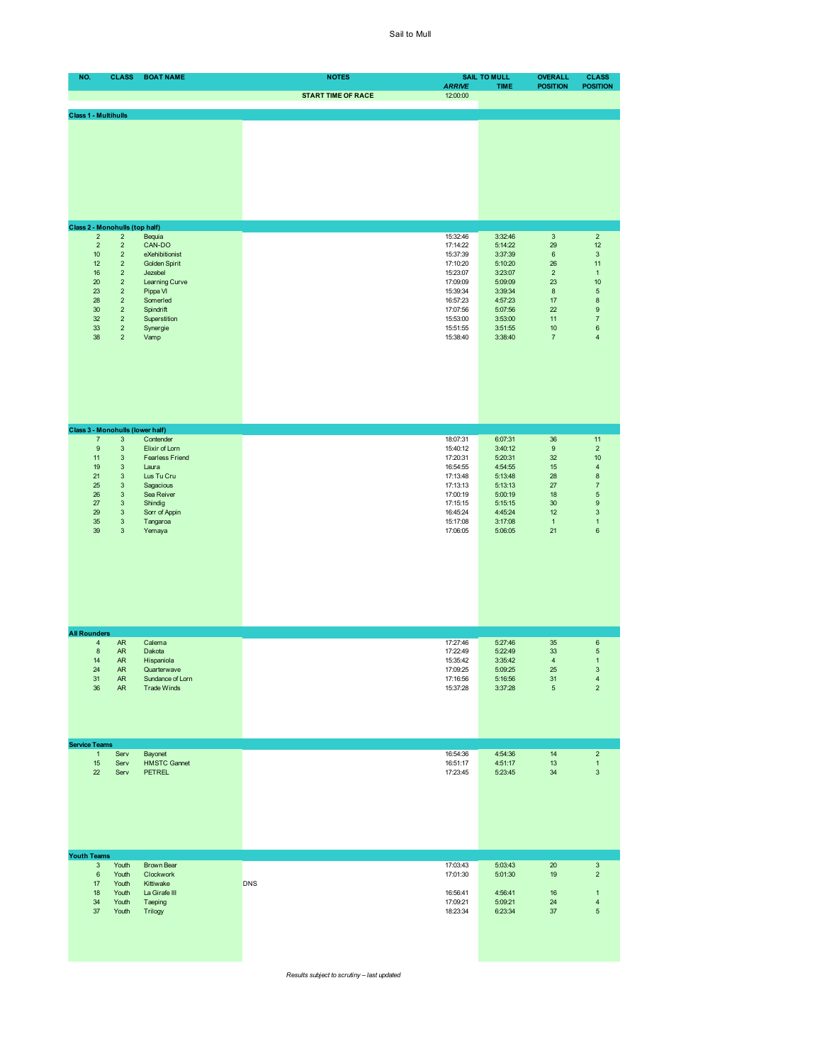| NO.                 |                             | <b>CLASS</b>                                           | <b>BOAT NAME</b>                              | <b>NOTES</b>              |                           | <b>SAIL TO MULL</b> | <b>OVERALL</b>            | <b>CLASS</b>                           |
|---------------------|-----------------------------|--------------------------------------------------------|-----------------------------------------------|---------------------------|---------------------------|---------------------|---------------------------|----------------------------------------|
|                     |                             |                                                        |                                               | <b>START TIME OF RACE</b> | <b>ARRIVE</b><br>12:00:00 | <b>TIME</b>         | <b>POSITION</b>           | <b>POSITION</b>                        |
|                     | <b>Class 1 - Multihulls</b> |                                                        |                                               |                           |                           |                     |                           |                                        |
|                     |                             |                                                        |                                               |                           |                           |                     |                           |                                        |
|                     |                             |                                                        |                                               |                           |                           |                     |                           |                                        |
|                     |                             |                                                        |                                               |                           |                           |                     |                           |                                        |
|                     |                             |                                                        |                                               |                           |                           |                     |                           |                                        |
|                     |                             |                                                        |                                               |                           |                           |                     |                           |                                        |
|                     |                             |                                                        |                                               |                           |                           |                     |                           |                                        |
|                     |                             |                                                        |                                               |                           |                           |                     |                           |                                        |
|                     |                             | Class 2 - Monohulls (top half)                         |                                               |                           |                           |                     |                           |                                        |
|                     | $\overline{2}$              | $\mathbf 2$                                            | Bequia                                        |                           | 15:32:46                  | 3:32:46             | $\mathbf{3}$              | $\overline{2}$                         |
|                     | $\sqrt{2}$<br>10            | $\mathbf 2$<br>$\overline{2}$                          | CAN-DO<br>eXehibitionist                      |                           | 17:14:22<br>15:37:39      | 5:14:22<br>3:37:39  | 29<br>6                   | 12<br>3                                |
|                     | 12                          | $\overline{\mathbf{c}}$                                | Golden Spirit                                 |                           | 17:10:20                  | 5:10:20             | $26\,$<br>$\overline{2}$  | 11                                     |
|                     | 16<br>20                    | $\mathbf 2$<br>$\mathbf 2$                             | Jezebel<br>Learning Curve                     |                           | 15:23:07<br>17:09:09      | 3:23:07<br>5:09:09  | 23                        | $\mathbf{1}$<br>10                     |
|                     | 23<br>28                    | $\mathbf 2$<br>$\mathbf 2$                             | Pippa VI                                      |                           | 15:39:34                  | 3:39:34             | $\bf 8$<br>$17\,$         | 5<br>8                                 |
|                     | 30                          | $\mathbf 2$                                            | Somerled<br>Spindrift                         |                           | 16:57:23<br>17:07:56      | 4:57:23<br>5:07:56  | 22                        | $\boldsymbol{9}$                       |
|                     | 32<br>33                    | $\mathbf 2$<br>$\mathbf 2$                             | Superstition<br>Synergie                      |                           | 15:53:00<br>15:51:55      | 3:53:00<br>3:51:55  | 11<br>$10$                | $\overline{7}$<br>6                    |
|                     | 38                          | $\overline{c}$                                         | Vamp                                          |                           | 15:38:40                  | 3:38:40             | $\overline{\mathfrak{c}}$ | 4                                      |
|                     |                             |                                                        |                                               |                           |                           |                     |                           |                                        |
|                     |                             |                                                        |                                               |                           |                           |                     |                           |                                        |
|                     |                             |                                                        |                                               |                           |                           |                     |                           |                                        |
|                     |                             |                                                        |                                               |                           |                           |                     |                           |                                        |
|                     |                             |                                                        |                                               |                           |                           |                     |                           |                                        |
|                     |                             |                                                        |                                               |                           |                           |                     |                           |                                        |
|                     | $\overline{7}$              | $\ensuremath{\mathsf{3}}$                              | Class 3 - Monohulls (lower half)<br>Contender |                           | 18:07:31                  | 6:07:31             | 36                        | 11                                     |
|                     | $\boldsymbol{9}$            | $\ensuremath{\mathsf{3}}$                              | Elixir of Lorn                                |                           | 15:40:12                  | 3:40:12             | $\boldsymbol{9}$          | $\mathbf 2$                            |
|                     | 11<br>19                    | $\ensuremath{\mathsf{3}}$<br>$\ensuremath{\mathsf{3}}$ | <b>Fearless Friend</b><br>Laura               |                           | 17:20:31<br>16:54:55      | 5:20:31<br>4:54:55  | 32<br>15                  | 10<br>4                                |
|                     | 21                          | $\mathbf{3}$                                           | Lus Tu Cru                                    |                           | 17:13:48                  | 5:13:48             | 28                        | 8                                      |
|                     | 25<br>26                    | 3<br>$\ensuremath{\mathsf{3}}$                         | Sagacious<br>Sea Reiver                       |                           | 17:13:13<br>17:00:19      | 5:13:13<br>5:00:19  | $27\,$<br>18              | $\overline{7}$<br>5                    |
|                     | 27                          | $\ensuremath{\mathsf{3}}$                              | Shindig                                       |                           | 17:15:15                  | 5:15:15             | 30                        | 9                                      |
|                     | 29<br>35                    | $\mathbf{3}$<br>$\ensuremath{\mathsf{3}}$              | Sorr of Appin<br>Tangaroa                     |                           | 16:45:24<br>15:17:08      | 4:45:24<br>3:17:08  | 12<br>$\mathbf{1}$        | 3<br>$\mathbf{1}$                      |
|                     | 39                          | $\ensuremath{\mathsf{3}}$                              | Yemaya                                        |                           | 17:06:05                  | 5:06:05             | 21                        | 6                                      |
|                     |                             |                                                        |                                               |                           |                           |                     |                           |                                        |
|                     |                             |                                                        |                                               |                           |                           |                     |                           |                                        |
|                     |                             |                                                        |                                               |                           |                           |                     |                           |                                        |
|                     |                             |                                                        |                                               |                           |                           |                     |                           |                                        |
|                     |                             |                                                        |                                               |                           |                           |                     |                           |                                        |
|                     |                             |                                                        |                                               |                           |                           |                     |                           |                                        |
| <b>All Rounders</b> |                             |                                                        |                                               |                           |                           |                     |                           |                                        |
|                     | 4                           | ${\sf AR}$                                             | Calema<br>Dakota                              |                           | 17:27:46<br>17:22:49      | 5:27:46             | 35                        | 6                                      |
|                     | $\bf8$<br>14                | <b>AR</b><br>${\sf AR}$                                | Hispaniola                                    |                           | 15:35:42                  | 5:22:49<br>3:35:42  | 33<br>4                   | 5<br>$\mathbf{1}$                      |
|                     | 24                          | <b>AR</b>                                              | Quarterwave                                   |                           | 17:09:25                  | 5:09:25             | 25                        | 3                                      |
|                     | 31<br>36                    | AR<br>${\sf AR}$                                       | Sundance of Lorn<br><b>Trade Winds</b>        |                           | 17:16:56<br>15:37:28      | 5:16:56<br>3:37:28  | 31<br>$\,$ 5 $\,$         | $\overline{\mathbf{r}}$<br>$\mathbf 2$ |
|                     |                             |                                                        |                                               |                           |                           |                     |                           |                                        |
|                     |                             |                                                        |                                               |                           |                           |                     |                           |                                        |
|                     |                             |                                                        |                                               |                           |                           |                     |                           |                                        |
|                     | <b>Service Teams</b>        |                                                        |                                               |                           |                           |                     |                           |                                        |
|                     | $\mathbf{1}$                | Serv                                                   | Bayonet                                       |                           | 16:54:36<br>16:51:17      | 4:54:36             | 14                        | $\overline{c}$                         |
|                     | 15<br>22                    | Serv<br>Serv                                           | <b>HMSTC Gannet</b><br><b>PETREL</b>          |                           | 17:23:45                  | 4:51:17<br>5:23:45  | 13<br>34                  | $\mathbf{1}$<br>3                      |
|                     |                             |                                                        |                                               |                           |                           |                     |                           |                                        |
|                     |                             |                                                        |                                               |                           |                           |                     |                           |                                        |
|                     |                             |                                                        |                                               |                           |                           |                     |                           |                                        |
|                     |                             |                                                        |                                               |                           |                           |                     |                           |                                        |
|                     |                             |                                                        |                                               |                           |                           |                     |                           |                                        |
| <b>Youth Teams</b>  |                             |                                                        |                                               |                           |                           |                     |                           |                                        |
|                     | $\ensuremath{\mathsf{3}}$   | Youth                                                  | Brown Bear                                    |                           | 17:03:43                  | 5:03:43             | $20\,$                    | $\mathsf 3$                            |
|                     | $\,6\,$<br>$17\,$           | Youth<br>Youth                                         | Clockwork<br>Kittiwake                        | <b>DNS</b>                | 17:01:30                  | 5:01:30             | 19                        | $\overline{\mathbf{c}}$                |
|                     | 18                          | Youth                                                  | La Girafe III                                 |                           | 16:56:41                  | 4:56:41             | 16                        | $\mathbf{1}$                           |
|                     | 34<br>37                    | Youth<br>Youth                                         | Taeping<br>Trilogy                            |                           | 17:09:21<br>18:23:34      | 5:09:21<br>6:23:34  | $24\,$<br>$37\,$          | 4<br>5                                 |
|                     |                             |                                                        |                                               |                           |                           |                     |                           |                                        |
|                     |                             |                                                        |                                               |                           |                           |                     |                           |                                        |
|                     |                             |                                                        |                                               |                           |                           |                     |                           |                                        |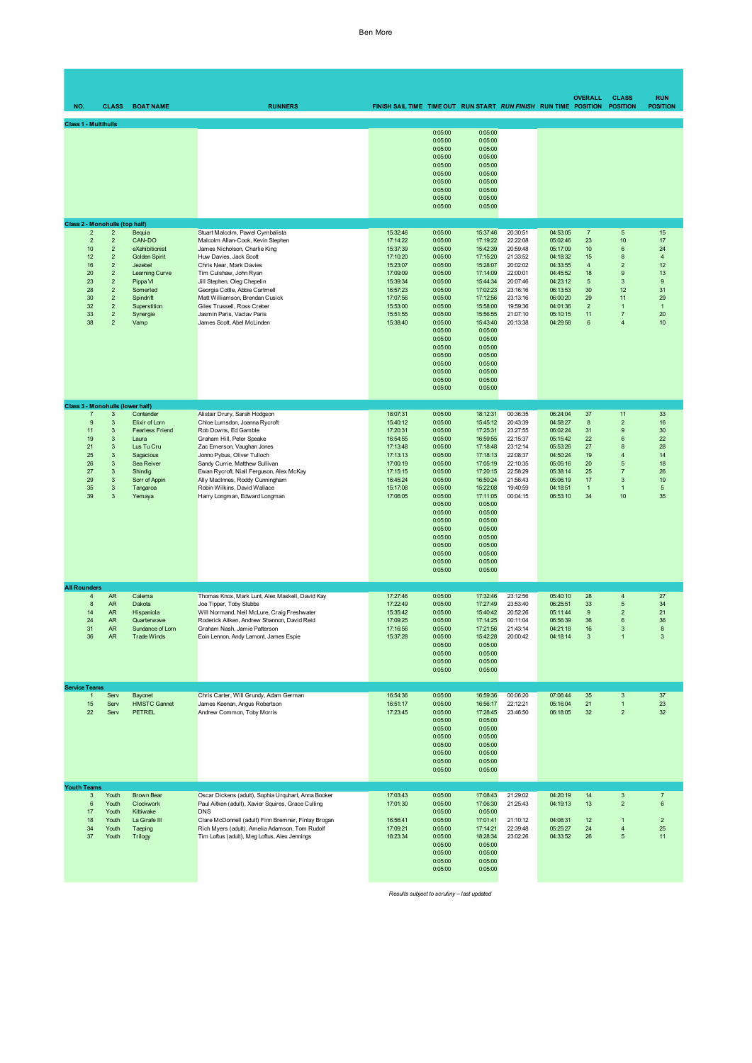## Ben More

| NO.                                                                                                                                   | <b>CLASS</b>                                                                                                                                                                                     | <b>BOAT NAME</b>                                                                                                                                          | <b>RUNNERS</b>                                                                                                                                                                                                                                                                                                                                                                       | FINISH SAIL TIME TIME OUT RUN START RUN FINISH RUN TIME POSITION                                                                             |                                                                                                                                                                                                                          |                                                                                                                                                                                                                                      |                                                                                                                                              |                                                                                                                                              | <b>OVERALL</b>                                                                                         | <b>CLASS</b><br><b>POSITION</b>                                                                                                        | <b>RUN</b><br><b>POSITION</b>                                                                 |
|---------------------------------------------------------------------------------------------------------------------------------------|--------------------------------------------------------------------------------------------------------------------------------------------------------------------------------------------------|-----------------------------------------------------------------------------------------------------------------------------------------------------------|--------------------------------------------------------------------------------------------------------------------------------------------------------------------------------------------------------------------------------------------------------------------------------------------------------------------------------------------------------------------------------------|----------------------------------------------------------------------------------------------------------------------------------------------|--------------------------------------------------------------------------------------------------------------------------------------------------------------------------------------------------------------------------|--------------------------------------------------------------------------------------------------------------------------------------------------------------------------------------------------------------------------------------|----------------------------------------------------------------------------------------------------------------------------------------------|----------------------------------------------------------------------------------------------------------------------------------------------|--------------------------------------------------------------------------------------------------------|----------------------------------------------------------------------------------------------------------------------------------------|-----------------------------------------------------------------------------------------------|
| <b>Class 1 - Multihulls</b>                                                                                                           |                                                                                                                                                                                                  |                                                                                                                                                           |                                                                                                                                                                                                                                                                                                                                                                                      |                                                                                                                                              | 0:05:00<br>0:05:00<br>0:05:00<br>0:05:00<br>0:05:00<br>0:05:00<br>0:05:00<br>0:05:00<br>0:05:00<br>0:05:00                                                                                                               | 0:05:00<br>0:05:00<br>0:05:00<br>0:05:00<br>0:05:00<br>0:05:00<br>0:05:00<br>0:05:00<br>0:05:00<br>0:05:00                                                                                                                           |                                                                                                                                              |                                                                                                                                              |                                                                                                        |                                                                                                                                        |                                                                                               |
| <b>Class 2 - Monohulls (top half)</b><br>$\overline{2}$<br>$\overline{2}$<br>10<br>12<br>16<br>20<br>23<br>28<br>30<br>32<br>33<br>38 | $\overline{c}$<br>$\overline{2}$<br>$\overline{2}$<br>$\sqrt{2}$<br>$\overline{2}$<br>$\sqrt{2}$<br>$\sqrt{2}$<br>$\overline{2}$<br>$\sqrt{2}$<br>$\sqrt{2}$<br>$\overline{2}$<br>$\overline{2}$ | Bequia<br>CAN-DO<br>eXehibitionist<br>Golden Spirit<br>Jezebel<br>Learning Curve<br>Pippa VI<br>Somerled<br>Spindrift<br>Superstition<br>Synergie<br>Vamp | Stuart Malcolm, Pawel Cymbalista<br>Malcolm Allan-Cook, Kevin Stephen<br>James Nicholson, Charlie King<br>Huw Davies, Jack Scott<br>Chris Near, Mark Davies<br>Tim Culshaw, John Ryan<br>Jill Stephen, Oleg Chepelin<br>Georgia Cottle, Abbie Cartmell<br>Matt Williamson, Brendan Cusick<br>Giles Trussell, Ross Creber<br>Jasmin Paris, Vaclav Paris<br>James Scott, Abel McLinden | 15:32:46<br>17:14:22<br>15:37:39<br>17:10:20<br>15:23:07<br>17:09:09<br>15:39:34<br>16:57:23<br>17:07:56<br>15:53:00<br>15:51:55<br>15:38:40 | 0:05:00<br>0:05:00<br>0:05:00<br>0:05:00<br>0:05:00<br>0:05:00<br>0:05:00<br>0:05:00<br>0:05:00<br>0:05:00<br>0:05:00<br>0:05:00<br>0:05:00<br>0:05:00<br>0:05:00<br>0:05:00<br>0:05:00<br>0:05:00<br>0:05:00<br>0:05:00 | 15:37:46<br>17:19:22<br>15:42:39<br>17:15:20<br>15:28:07<br>17:14:09<br>15:44:34<br>17:02:23<br>17:12:56<br>15:58:00<br>15:56:55<br>15:43:40<br>0:05:00<br>0:05:00<br>0:05:00<br>0:05:00<br>0:05:00<br>0:05:00<br>0:05:00<br>0:05:00 | 20:30:51<br>22:22:08<br>20:59:48<br>21:33:52<br>20:02:02<br>22:00:01<br>20:07:46<br>23:16:16<br>23:13:16<br>19:59:36<br>21:07:10<br>20:13:38 | 04:53:05<br>05:02:46<br>05:17:09<br>04:18:32<br>04:33:55<br>04:45:52<br>04:23:12<br>06:13:53<br>06:00:20<br>04:01:36<br>05:10:15<br>04:29:58 | $\overline{7}$<br>23<br>10<br>15<br>$\overline{4}$<br>18<br>5<br>30<br>29<br>$\overline{c}$<br>11<br>6 | $\sqrt{5}$<br>10<br>$6\phantom{1}6$<br>8<br>$\overline{2}$<br>9<br>3<br>12<br>11<br>$\overline{1}$<br>$\overline{7}$<br>$\overline{4}$ | 15<br>17<br>24<br>$\overline{4}$<br>12<br>13<br>$9\,$<br>31<br>29<br>$\mathbf{1}$<br>20<br>10 |
| Class 3 - Monohulls (lower half)<br>$\overline{7}$<br>9<br>11<br>19<br>21<br>25<br>26<br>27<br>29<br>35<br>39                         | 3<br>3<br>$\mathbf{3}$<br>3<br>$\mathbf{3}$<br>$\mathbf{3}$<br>$\mathbf{3}$<br>3<br>$\mathbf{3}$<br>3<br>$\overline{3}$                                                                          | Contender<br>Elixir of Lorn<br><b>Fearless Friend</b><br>Laura<br>Lus Tu Cru<br>Sagacious<br>Sea Reiver<br>Shindig<br>Sorr of Appin<br>Tangaroa<br>Yemaya | Alistair Drury, Sarah Hodgson<br>Chloe Lumsdon, Joanna Rycroft<br>Rob Downs, Ed Gamble<br>Graham Hill, Peter Speake<br>Zac Emerson, Vaughan Jones<br>Jonno Pybus, Oliver Tulloch<br>Sandy Currie, Matthew Sullivan<br>Ewan Rycroft, Niall Ferguson, Alex McKay<br>Ally MacInnes, Roddy Cunningham<br>Robin Wilkins, David Wallace<br>Harry Longman, Edward Longman                   | 18:07:31<br>15:40:12<br>17:20:31<br>16:54:55<br>17:13:48<br>17:13:13<br>17:00:19<br>17:15:15<br>16:45:24<br>15:17:08<br>17:06:05             | 0:05:00<br>0:05:00<br>0:05:00<br>0:05:00<br>0:05:00<br>0:05:00<br>0:05:00<br>0:05:00<br>0:05:00<br>0:05:00<br>0:05:00<br>0:05:00<br>0:05:00<br>0:05:00<br>0:05:00<br>0:05:00<br>0:05:00<br>0:05:00<br>0:05:00<br>0:05:00 | 18:12:31<br>15:45:12<br>17:25:31<br>16:59:55<br>17:18:48<br>17:18:13<br>17:05:19<br>17:20:15<br>16:50:24<br>15:22:08<br>17:11:05<br>0:05:00<br>0:05:00<br>0:05:00<br>0:05:00<br>0:05:00<br>0:05:00<br>0:05:00<br>0:05:00<br>0:05:00  | 00:36:35<br>20:43:39<br>23:27:55<br>22:15:37<br>23:12:14<br>22:08:37<br>22:10:35<br>22:58:29<br>21:56:43<br>19:40:59<br>00:04:15             | 06:24:04<br>04:58:27<br>06:02:24<br>05:15:42<br>05:53:26<br>04:50:24<br>05:05:16<br>05:38:14<br>05:06:19<br>04:18:51<br>06:53:10             | 37<br>8<br>31<br>22<br>27<br>19<br>20<br>25<br>17<br>$\mathbf{1}$<br>34                                | 11<br>$\overline{2}$<br>9<br>6<br>$\mathbf{a}$<br>$\overline{4}$<br>5<br>$\overline{7}$<br>3<br>$\overline{1}$<br>10                   | 33<br>16<br>30<br>22<br>28<br>14<br>18<br>26<br>19<br>$\sqrt{5}$<br>35                        |
| <b>All Rounders</b><br>4<br>8<br>14<br>24<br>31<br>36                                                                                 | <b>AR</b><br><b>AR</b><br><b>AR</b><br><b>AR</b><br><b>AR</b><br><b>AR</b>                                                                                                                       | Calema<br>Dakota<br>Hispaniola<br>Quarterwave<br>Sundance of Lorn<br><b>Trade Winds</b>                                                                   | Thomas Knox, Mark Lunt, Alex Maskell, David Kay<br>Joe Tipper, Toby Stubbs<br>Will Normand, Neil McLure, Craig Freshwater<br>Roderick Aitken, Andrew Shannon, David Reid<br>Graham Nash, Jamie Patterson<br>Eoin Lennon, Andy Lamont, James Espie                                                                                                                                    | 17:27:46<br>17:22:49<br>15:35:42<br>17:09:25<br>17:16:56<br>15:37:28                                                                         | 0:05:00<br>0:05:00<br>0:05:00<br>0:05:00<br>0:05:00<br>0:05:00<br>0:05:00<br>0:05:00<br>0:05:00<br>0:05:00                                                                                                               | 17:32:46<br>17:27:49<br>15:40:42<br>17:14:25<br>17:21:56<br>15:42:28<br>0:05:00<br>0:05:00<br>0:05:00<br>0:05:00                                                                                                                     | 23:12:56<br>23:53:40<br>20:52:26<br>00:11:04<br>21:43:14<br>20:00:42                                                                         | 05:40:10<br>06:25:51<br>05:11:44<br>06:56:39<br>04:21:18<br>04:18:14                                                                         | 28<br>33<br>9<br>36<br>16<br>3                                                                         | $\overline{4}$<br>5<br>$\overline{2}$<br>$6\phantom{1}6$<br>3<br>-1                                                                    | 27<br>34<br>21<br>36<br>8<br>3                                                                |
| <b>Service Teams</b><br>$\mathbf{1}$<br>15<br>22                                                                                      | Serv<br>Serv<br>Serv                                                                                                                                                                             | Bayonet<br><b>HMSTC Gannet</b><br><b>PETREL</b>                                                                                                           | Chris Carter, Will Grundy, Adam German<br>James Keenan, Angus Robertson<br>Andrew Common, Toby Morris                                                                                                                                                                                                                                                                                | 16:54:36<br>16:51:17<br>17:23:45                                                                                                             | 0:05:00<br>0:05:00<br>0:05:00<br>0:05:00<br>0:05:00<br>0:05:00<br>0:05:00<br>0:05:00<br>0:05:00<br>0:05:00                                                                                                               | 16:59:36<br>16:56:17<br>17:28:45<br>0:05:00<br>0:05:00<br>0:05:00<br>0:05:00<br>0:05:00<br>0:05:00<br>0:05:00                                                                                                                        | 00:06:20<br>22:12:21<br>23:46:50                                                                                                             | 07:06:44<br>05:16:04<br>06:18:05                                                                                                             | 35<br>21<br>32                                                                                         | $\mathbf{3}$<br>$\mathbf{1}$<br>$\overline{2}$                                                                                         | 37<br>23<br>32                                                                                |
| <b>Youth Teams</b><br>3<br>6<br>17<br>$18$<br>34<br>37                                                                                | Youth<br>Youth<br>Youth<br>Youth<br>Youth<br>Youth                                                                                                                                               | <b>Brown Bear</b><br>Clockwork<br>Kittiwake<br>La Girafe III<br>Taeping<br>Trilogy                                                                        | Oscar Dickens (adult), Sophia Urquhart, Anna Booker<br>Paul Aitken (adult), Xavier Squires, Grace Culling<br><b>DNS</b><br>Clare McDonnell (adult) Finn Bremner, Finlay Brogan<br>Rich Myers (adult), Amelia Adamson, Tom Rudolf<br>Tim Loftus (adult), Meg Loftus, Alex Jennings                                                                                                    | 17:03:43<br>17:01:30<br>16:56:41<br>17:09:21<br>18:23:34                                                                                     | 0:05:00<br>0:05:00<br>0:05:00<br>0:05:00<br>0:05:00<br>0:05:00<br>0:05:00<br>0:05:00<br>0:05:00<br>0:05:00                                                                                                               | 17:08:43<br>17:06:30<br>0:05:00<br>17:01:41<br>17:14:21<br>18:28:34<br>0:05:00<br>0:05:00<br>0:05:00<br>0:05:00                                                                                                                      | 21:29:02<br>21:25:43<br>21:10:12<br>22:39:48<br>23:02:26                                                                                     | 04:20:19<br>04:19:13<br>04:08:31<br>05:25:27<br>04:33:52                                                                                     | 14<br>13<br>12<br>24<br>26                                                                             | 3<br>$\overline{2}$<br>$\overline{1}$<br>$\overline{\mathbf{4}}$<br>5                                                                  | $\overline{7}$<br>$\boldsymbol{6}$<br>$\overline{2}$<br>25<br>11                              |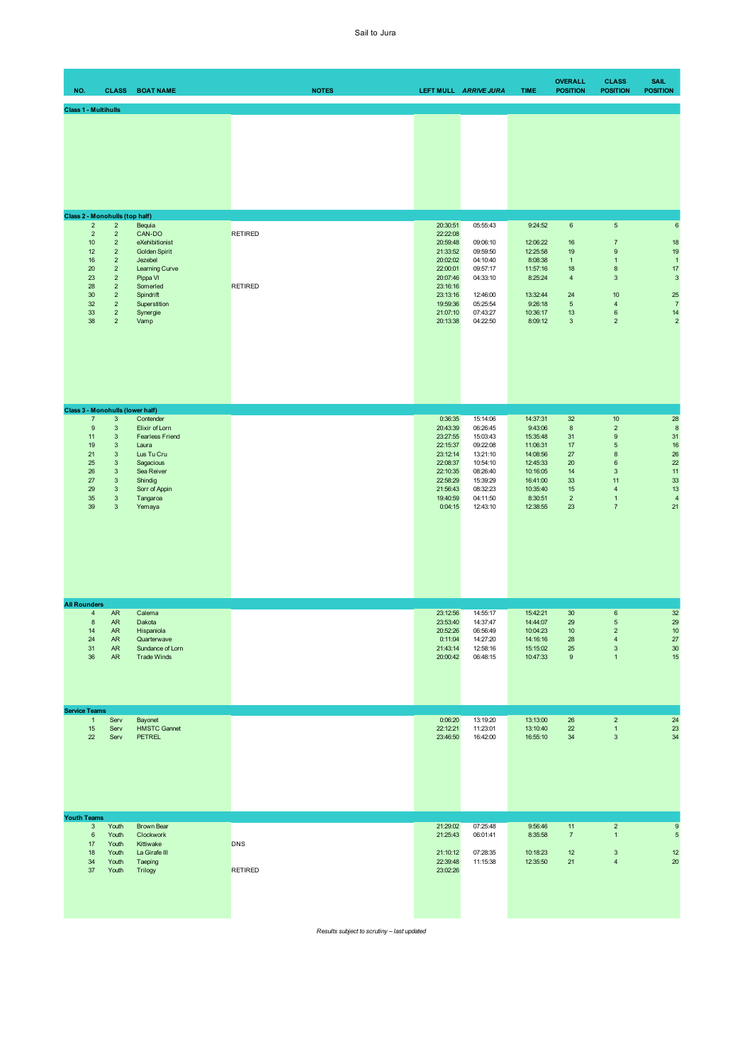| NO.                  |                                                                                          | <b>CLASS</b>                                                                                                                                                                                                                                              | <b>BOAT NAME</b>                                                                                                                                          | <b>NOTES</b>                     |                                                                                                                                  | LEFT MULL ARRIVE JURA                                                                                                            | <b>TIME</b>                                                                                                                    | <b>OVERALL</b><br><b>POSITION</b>                                                           | <b>CLASS</b><br><b>POSITION</b>                                                                                                                                 | <b>SAIL</b><br><b>POSITION</b>                                                                 |
|----------------------|------------------------------------------------------------------------------------------|-----------------------------------------------------------------------------------------------------------------------------------------------------------------------------------------------------------------------------------------------------------|-----------------------------------------------------------------------------------------------------------------------------------------------------------|----------------------------------|----------------------------------------------------------------------------------------------------------------------------------|----------------------------------------------------------------------------------------------------------------------------------|--------------------------------------------------------------------------------------------------------------------------------|---------------------------------------------------------------------------------------------|-----------------------------------------------------------------------------------------------------------------------------------------------------------------|------------------------------------------------------------------------------------------------|
|                      | <b>Class 1 - Multihulls</b>                                                              |                                                                                                                                                                                                                                                           |                                                                                                                                                           |                                  |                                                                                                                                  |                                                                                                                                  |                                                                                                                                |                                                                                             |                                                                                                                                                                 |                                                                                                |
|                      |                                                                                          |                                                                                                                                                                                                                                                           |                                                                                                                                                           |                                  |                                                                                                                                  |                                                                                                                                  |                                                                                                                                |                                                                                             |                                                                                                                                                                 |                                                                                                |
|                      | Class 2 - Monohulls (top half)                                                           | $\overline{2}$                                                                                                                                                                                                                                            |                                                                                                                                                           |                                  | 20:30:51                                                                                                                         | 05:55:43                                                                                                                         | 9:24:52                                                                                                                        | $\,6\,$                                                                                     | $\sqrt{5}$                                                                                                                                                      |                                                                                                |
|                      | $\overline{2}$<br>$\sqrt{2}$<br>10<br>12<br>16<br>20<br>23<br>28<br>30<br>32<br>33<br>38 | $\mathbf 2$<br>$\mathbf 2$<br>$\sqrt{2}$<br>$\sqrt{2}$<br>$\overline{2}$<br>$\overline{2}$<br>$\overline{2}$<br>$\overline{2}$<br>$\overline{2}$<br>$\overline{2}$<br>$\mathbf 2$                                                                         | Bequia<br>CAN-DO<br>eXehibitionist<br>Golden Spirit<br>Jezebel<br>Learning Curve<br>Pippa VI<br>Somerled<br>Spindrift<br>Superstition<br>Synergie<br>Vamp | <b>RETIRED</b><br><b>RETIRED</b> | 22:22:08<br>20:59:48<br>21:33:52<br>20:02:02<br>22:00:01<br>20:07:46<br>23:16:16<br>23:13:16<br>19:59:36<br>21:07:10<br>20:13:38 | 09:06:10<br>09:59:50<br>04:10:40<br>09:57:17<br>04:33:10<br>12:46:00<br>05:25:54<br>07:43:27<br>04:22:50                         | 12:06:22<br>12:25:58<br>8:08:38<br>11:57:16<br>8:25:24<br>13:32:44<br>9:26:18<br>10:36:17<br>8:09:12                           | 16<br>19<br>$\mathbf{1}$<br>18<br>$\overline{4}$<br>24<br>$\,$ 5 $\,$<br>13<br>$\mathbf{3}$ | $\overline{7}$<br>$\boldsymbol{9}$<br>$\mathbf{1}$<br>8<br>$\sqrt{3}$<br>10<br>$\sqrt{4}$<br>$\mathbf 6$<br>$\overline{2}$                                      | $\,6\,$<br>18<br>19<br>$\mathbf{1}$<br>17<br>3<br>25<br>$\overline{7}$<br>14<br>$\overline{a}$ |
|                      |                                                                                          |                                                                                                                                                                                                                                                           | Class 3 - Monohulls (lower half)                                                                                                                          |                                  |                                                                                                                                  |                                                                                                                                  |                                                                                                                                |                                                                                             |                                                                                                                                                                 |                                                                                                |
|                      | $\overline{7}$<br>9<br>11<br>19<br>21<br>25<br>26<br>27<br>29<br>35<br>39                | $\ensuremath{\mathsf{3}}$<br>$\mathbf{3}$<br>$\ensuremath{\mathsf{3}}$<br>$\ensuremath{\mathsf{3}}$<br>$\mathbf{3}$<br>$\ensuremath{\mathsf{3}}$<br>$\ensuremath{\mathsf{3}}$<br>$\mathbf{3}$<br>$\mathsf 3$<br>$\mathbf{3}$<br>$\ensuremath{\mathsf{3}}$ | Contender<br>Elixir of Lorn<br><b>Fearless Friend</b><br>Laura<br>Lus Tu Cru<br>Sagacious<br>Sea Reiver<br>Shindig<br>Sorr of Appin<br>Tangaroa<br>Yemaya |                                  | 0:36:35<br>20:43:39<br>23:27:55<br>22:15:37<br>23:12:14<br>22:08:37<br>22:10:35<br>22:58:29<br>21:56:43<br>19:40:59<br>0:04:15   | 15:14:06<br>06:26:45<br>15:03:43<br>09:22:08<br>13:21:10<br>10:54:10<br>08:26:40<br>15:39:29<br>08:32:23<br>04:11:50<br>12:43:10 | 14:37:31<br>9:43:06<br>15:35:48<br>11:06:31<br>14:08:56<br>12:45:33<br>10:16:05<br>16:41:00<br>10:35:40<br>8:30:51<br>12:38:55 | 32<br>8<br>31<br>17<br>27<br>20<br>14<br>33<br>15<br>$\overline{2}$<br>23                   | $10$<br>$\overline{2}$<br>$\mathsf g$<br>$\sqrt{5}$<br>$\bf8$<br>$\mathbf 6$<br>$\mathbf{3}$<br>11<br>$\overline{\mathbf{4}}$<br>$\mathbf{1}$<br>$\overline{7}$ | 28<br>$\boldsymbol{8}$<br>31<br>16<br>26<br>22<br>11<br>33<br>13<br>$\overline{4}$<br>21       |
| <b>All Rounders</b>  |                                                                                          |                                                                                                                                                                                                                                                           |                                                                                                                                                           |                                  |                                                                                                                                  |                                                                                                                                  |                                                                                                                                |                                                                                             |                                                                                                                                                                 |                                                                                                |
|                      | $\overline{4}$<br>$\bf 8$<br>14<br>24<br>31<br>36                                        | AR<br>AR<br><b>AR</b><br>AR<br>${\sf AR}$<br>${\sf AR}$                                                                                                                                                                                                   | Calema<br>Dakota<br>Hispaniola<br>Quarterwave<br>Sundance of Lorn<br><b>Trade Winds</b>                                                                   |                                  | 23:12:56<br>23:53:40<br>20:52:26<br>0:11:04<br>21:43:14<br>20:00:42                                                              | 14:55:17<br>14:37:47<br>06:56:49<br>14:27:20<br>12:58:16<br>06:48:15                                                             | 15:42:21<br>14:44:07<br>10:04:23<br>14:16:16<br>15:15:02<br>10:47:33                                                           | 30<br>29<br>10<br>28<br>25<br>9                                                             | $\,6\,$<br>$\sqrt{5}$<br>$\overline{2}$<br>$\overline{4}$<br>$\ensuremath{\mathsf{3}}$<br>$\mathbf{1}$                                                          | 32<br>29<br>10<br>$27\,$<br>$30\,$<br>15                                                       |
| <b>Service Teams</b> |                                                                                          |                                                                                                                                                                                                                                                           |                                                                                                                                                           |                                  |                                                                                                                                  |                                                                                                                                  |                                                                                                                                |                                                                                             |                                                                                                                                                                 |                                                                                                |
|                      | $\mathbf{1}$<br>15<br>22                                                                 | Serv<br>Serv<br>Serv                                                                                                                                                                                                                                      | Bayonet<br><b>HMSTC Gannet</b><br><b>PETREL</b>                                                                                                           |                                  | 0:06:20<br>22:12:21<br>23:46:50                                                                                                  | 13:19:20<br>11:23:01<br>16:42:00                                                                                                 | 13:13:00<br>13:10:40<br>16:55:10                                                                                               | 26<br>22<br>34                                                                              | $\sqrt{2}$<br>$\mathbf{1}$<br>$\ensuremath{\mathsf{3}}$                                                                                                         | 24<br>$23\,$<br>34                                                                             |
| <b>Youth Teams</b>   |                                                                                          |                                                                                                                                                                                                                                                           |                                                                                                                                                           |                                  |                                                                                                                                  |                                                                                                                                  |                                                                                                                                |                                                                                             |                                                                                                                                                                 |                                                                                                |
|                      | $\mathsf 3$<br>$\boldsymbol{6}$<br>17<br>18<br>34<br>37                                  | Youth<br>Youth<br>Youth<br>Youth<br>Youth<br>Youth                                                                                                                                                                                                        | Brown Bear<br>Clockwork<br>Kittiwake<br>La Girafe III<br>Taeping<br>Trilogy                                                                               | <b>DNS</b><br><b>RETIRED</b>     | 21:29:02<br>21:25:43<br>21:10:12<br>22:39:48<br>23:02:26                                                                         | 07:25:48<br>06:01:41<br>07:28:35<br>11:15:38                                                                                     | 9:56:46<br>8:35:58<br>10:18:23<br>12:35:50                                                                                     | 11<br>$\overline{7}$<br>12<br>21                                                            | $\sqrt{2}$<br>$\mathbf{1}$<br>$\ensuremath{\mathsf{3}}$<br>$\overline{\mathbf{4}}$                                                                              | $\boldsymbol{9}$<br>$\sqrt{5}$<br>$12\,$<br>20                                                 |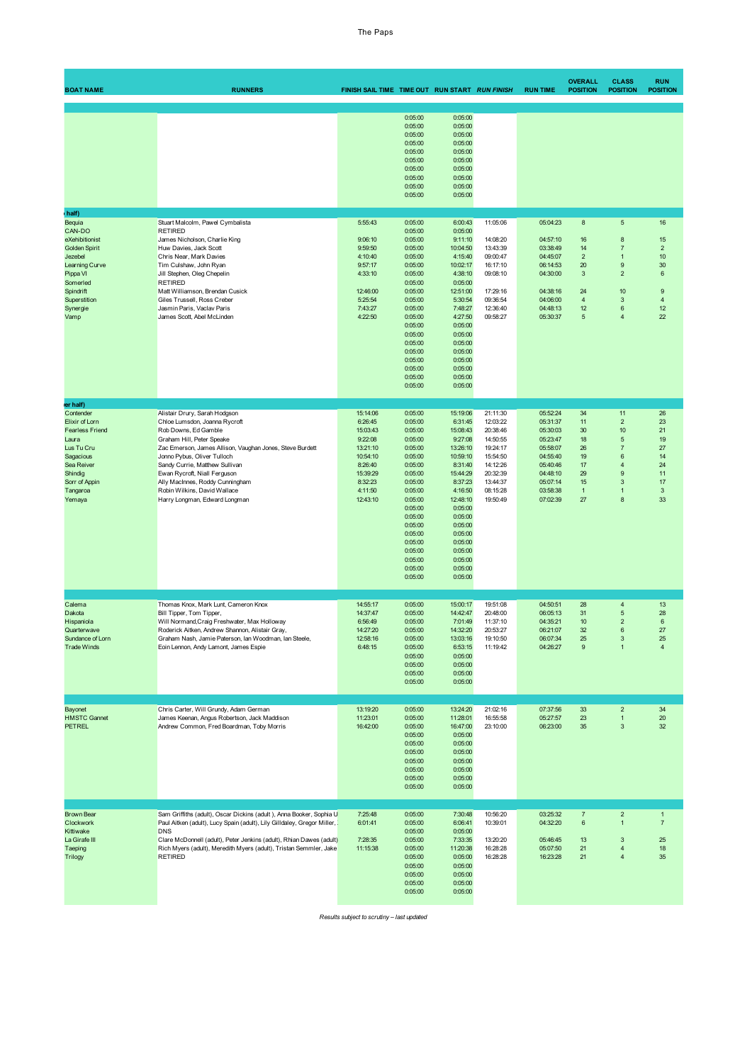| <b>BOAT NAME</b>                                                                                                                                                      | <b>RUNNERS</b>                                                                                                                                                                                                                                                                                                                                                                       | FINISH SAIL TIME TIME OUT RUN START RUN FINISH                                                                              |                                                                                                                                                                                                                          |                                                                                                                                                                                                                                |                                                                                                                                  | <b>RUN TIME</b>                                                                                                                  | <b>OVERALL</b><br><b>POSITION</b>                                                                        | <b>CLASS</b><br><b>POSITION</b>                                                                                                         | <b>RUN</b><br><b>POSITION</b>                                                                  |
|-----------------------------------------------------------------------------------------------------------------------------------------------------------------------|--------------------------------------------------------------------------------------------------------------------------------------------------------------------------------------------------------------------------------------------------------------------------------------------------------------------------------------------------------------------------------------|-----------------------------------------------------------------------------------------------------------------------------|--------------------------------------------------------------------------------------------------------------------------------------------------------------------------------------------------------------------------|--------------------------------------------------------------------------------------------------------------------------------------------------------------------------------------------------------------------------------|----------------------------------------------------------------------------------------------------------------------------------|----------------------------------------------------------------------------------------------------------------------------------|----------------------------------------------------------------------------------------------------------|-----------------------------------------------------------------------------------------------------------------------------------------|------------------------------------------------------------------------------------------------|
|                                                                                                                                                                       |                                                                                                                                                                                                                                                                                                                                                                                      |                                                                                                                             | 0:05:00<br>0:05:00<br>0:05:00<br>0:05:00<br>0:05:00<br>0:05:00<br>0:05:00<br>0:05:00<br>0:05:00<br>0:05:00                                                                                                               | 0:05:00<br>0:05:00<br>0:05:00<br>0:05:00<br>0:05:00<br>0:05:00<br>0:05:00<br>0:05:00<br>0:05:00<br>0:05:00                                                                                                                     |                                                                                                                                  |                                                                                                                                  |                                                                                                          |                                                                                                                                         |                                                                                                |
| half)<br>Bequia<br>CAN-DO<br>eXehibitionist<br>Golden Spirit<br>Jezebel<br>Learning Curve<br>Pippa VI<br>Somerled<br>Spindrift<br>Superstition<br>Synergie<br>Vamp    | Stuart Malcolm, Pawel Cymbalista<br><b>RETIRED</b><br>James Nicholson, Charlie King<br>Huw Davies, Jack Scott<br>Chris Near, Mark Davies<br>Tim Culshaw, John Ryan<br>Jill Stephen, Oleg Chepelin<br><b>RETIRED</b><br>Matt Williamson, Brendan Cusick<br>Giles Trussell, Ross Creber<br>Jasmin Paris, Vaclav Paris<br>James Scott, Abel McLinden                                    | 5:55:43<br>9:06:10<br>9:59:50<br>4:10:40<br>9:57:17<br>4:33:10<br>12:46:00<br>5:25:54<br>7:43:27<br>4:22:50                 | 0:05:00<br>0:05:00<br>0:05:00<br>0:05:00<br>0:05:00<br>0:05:00<br>0:05:00<br>0:05:00<br>0:05:00<br>0:05:00<br>0:05:00<br>0:05:00<br>0:05:00<br>0:05:00<br>0:05:00<br>0:05:00<br>0:05:00<br>0:05:00<br>0:05:00<br>0:05:00 | 6:00:43<br>0:05:00<br>9:11:10<br>10:04:50<br>4:15:40<br>10:02:17<br>4:38:10<br>0:05:00<br>12:51:00<br>5:30:54<br>7:48:27<br>4:27:50<br>0:05:00<br>0:05:00<br>0:05:00<br>0:05:00<br>0:05:00<br>0:05:00<br>0:05:00<br>0:05:00    | 11:05:06<br>14:08:20<br>13:43:39<br>09:00:47<br>16:17:10<br>09:08:10<br>17:29:16<br>09:36:54<br>12:36:40<br>09:58:27             | 05:04:23<br>04:57:10<br>03:38:49<br>04:45:07<br>06:14:53<br>04:30:00<br>04:38:16<br>04:06:00<br>04:48:13<br>05:30:37             | $\bf{8}$<br>16<br>14<br>$\overline{2}$<br>20<br>$\mathbf{3}$<br>24<br>$\overline{4}$<br>12<br>$\sqrt{5}$ | $\overline{5}$<br>$\bf 8$<br>$\overline{7}$<br>$\mathbf{1}$<br>$\mathsf g$<br>$\overline{2}$<br>10<br>$\mathbf{3}$<br>$\,6$<br>4        | 16<br>15<br>$\overline{2}$<br>10<br>30<br>$6\phantom{1}6$<br>$9$<br>$\overline{4}$<br>12<br>22 |
| er half)<br>Contender<br>Elixir of Lorn<br><b>Fearless Friend</b><br>Laura<br>Lus Tu Cru<br>Sagacious<br>Sea Reiver<br>Shindig<br>Sorr of Appin<br>Tangaroa<br>Yemaya | Alistair Drury, Sarah Hodgson<br>Chloe Lumsdon, Joanna Rycroft<br>Rob Downs, Ed Gamble<br>Graham Hill, Peter Speake<br>Zac Emerson, James Allison, Vaughan Jones, Steve Burdett<br>Jonno Pybus, Oliver Tulloch<br>Sandy Currie, Matthew Sullivan<br>Ewan Rycroft, Niall Ferguson<br>Ally MacInnes, Roddy Cunningham<br>Robin Wilkins, David Wallace<br>Harry Longman, Edward Longman | 15:14:06<br>6:26:45<br>15:03:43<br>9:22:08<br>13:21:10<br>10:54:10<br>8:26:40<br>15:39:29<br>8:32:23<br>4:11:50<br>12:43:10 | 0:05:00<br>0:05:00<br>0:05:00<br>0:05:00<br>0:05:00<br>0:05:00<br>0:05:00<br>0:05:00<br>0:05:00<br>0:05:00<br>0:05:00<br>0:05:00<br>0:05:00<br>0:05:00<br>0:05:00<br>0:05:00<br>0:05:00<br>0:05:00<br>0:05:00<br>0:05:00 | 15:19:06<br>6:31:45<br>15:08:43<br>9:27:08<br>13:26:10<br>10:59:10<br>8:31:40<br>15:44:29<br>8:37:23<br>4:16:50<br>12:48:10<br>0:05:00<br>0:05:00<br>0:05:00<br>0:05:00<br>0:05:00<br>0:05:00<br>0:05:00<br>0:05:00<br>0:05:00 | 21:11:30<br>12:03:22<br>20:38:46<br>14:50:55<br>19:24:17<br>15:54:50<br>14:12:26<br>20:32:39<br>13:44:37<br>08:15:28<br>19:50:49 | 05:52:24<br>05:31:37<br>05:30:03<br>05:23:47<br>05:58:07<br>04:55:40<br>05:40:46<br>04:48:10<br>05:07:14<br>03:58:38<br>07:02:39 | 34<br>11<br>30<br>18<br>26<br>19<br>17<br>29<br>15<br>$\mathbf{1}$<br>27                                 | 11<br>$\overline{2}$<br>10<br>5<br>$\overline{7}$<br>$\,6$<br>$\overline{4}$<br>$\overline{9}$<br>3<br>$\mathbf{1}$<br>$\boldsymbol{8}$ | 26<br>23<br>21<br>19<br>27<br>14<br>24<br>11<br>17<br>$\ensuremath{\mathsf{3}}$<br>33          |
| Calema<br>Dakota<br>Hispaniola<br>Quarterwave<br>Sundance of Lorn<br><b>Trade Winds</b>                                                                               | Thomas Knox, Mark Lunt, Cameron Knox<br>Bill Tipper, Tom Tipper,<br>Will Normand, Craig Freshwater, Max Holloway<br>Roderick Aitken, Andrew Shannon, Alistair Gray,<br>Graham Nash, Jamie Paterson, Ian Woodman, Ian Steele,<br>Eoin Lennon, Andy Lamont, James Espie                                                                                                                | 14:55:17<br>14:37:47<br>6:56:49<br>14:27:20<br>12:58:16<br>6:48:15                                                          | 0:05:00<br>0:05:00<br>0:05:00<br>0:05:00<br>0:05:00<br>0:05:00<br>0:05:00<br>0:05:00<br>0:05:00<br>0:05:00                                                                                                               | 15:00:17<br>14:42:47<br>7:01:49<br>14:32:20<br>13:03:16<br>6:53:15<br>0:05:00<br>0:05:00<br>0:05:00<br>0:05:00                                                                                                                 | 19:51:08<br>20:48:00<br>11:37:10<br>20:53:27<br>19:10:50<br>11:19:42                                                             | 04:50:51<br>06:05:13<br>04:35:21<br>06:21:07<br>06:07:34<br>04:26:27                                                             | 28<br>31<br>10<br>32<br>25<br>9                                                                          | $\sqrt{4}$<br>$\sqrt{5}$<br>$\overline{2}$<br>$6\phantom{1}$<br>$\sqrt{3}$<br>$\mathbf{1}$                                              | 13<br>28<br>$\boldsymbol{6}$<br>27<br>25<br>$\overline{4}$                                     |
| Bayonet<br><b>HMSTC Gannet</b><br><b>PETREL</b>                                                                                                                       | Chris Carter, Will Grundy, Adam German<br>James Keenan, Angus Robertson, Jack Maddison<br>Andrew Common, Fred Boardman, Toby Morris                                                                                                                                                                                                                                                  | 13:19:20<br>11:23:01<br>16:42:00                                                                                            | 0:05:00<br>0:05:00<br>0:05:00<br>0:05:00<br>0:05:00<br>0:05:00<br>0:05:00<br>0:05:00<br>0:05:00<br>0:05:00                                                                                                               | 13:24:20<br>11:28:01<br>16:47:00<br>0:05:00<br>0:05:00<br>0:05:00<br>0:05:00<br>0:05:00<br>0:05:00<br>0:05:00                                                                                                                  | 21:02:16<br>16:55:58<br>23:10:00                                                                                                 | 07:37:56<br>05:27:57<br>06:23:00                                                                                                 | 33<br>23<br>35                                                                                           | $\sqrt{2}$<br>$\mathbf{1}$<br>$\mathbf{3}$                                                                                              | 34<br>$20\,$<br>32                                                                             |
| <b>Brown Bear</b><br>Clockwork<br>Kittiwake<br>La Girafe III<br>Taeping<br>Trilogy                                                                                    | Sam Griffiths (adult), Oscar Dickins (adult), Anna Booker, Sophia U<br>Paul Aitken (adult), Lucy Spain (adult), Lily Gilldaley, Gregor Miller,<br><b>DNS</b><br>Clare McDonnell (adult), Peter Jenkins (adult), Rhian Dawes (adult)<br>Rich Myers (adult), Meredith Myers (adult), Tristan Semmler, Jake<br><b>RETIRED</b>                                                           | 7:25:48<br>6:01:41<br>7:28:35<br>11:15:38                                                                                   | 0:05:00<br>0:05:00<br>0:05:00<br>0:05:00<br>0:05:00<br>0:05:00<br>0:05:00<br>0:05:00<br>0:05:00<br>0:05:00                                                                                                               | 7:30:48<br>6:06:41<br>0:05:00<br>7:33:35<br>11:20:38<br>0:05:00<br>0:05:00<br>0:05:00<br>0:05:00<br>0:05:00                                                                                                                    | 10:56:20<br>10:39:01<br>13:20:20<br>16:28:28<br>16:28:28                                                                         | 03:25:32<br>04:32:20<br>05:46:45<br>05:07:50<br>16:23:28                                                                         | $\boldsymbol{7}$<br>$\boldsymbol{6}$<br>13<br>21<br>21                                                   | $\sqrt{2}$<br>$\mathbf{1}$<br>$\mathbf{3}$<br>$\sqrt{4}$<br>$\overline{4}$                                                              | $\mathbf{1}$<br>$\overline{7}$<br>25<br>18<br>35                                               |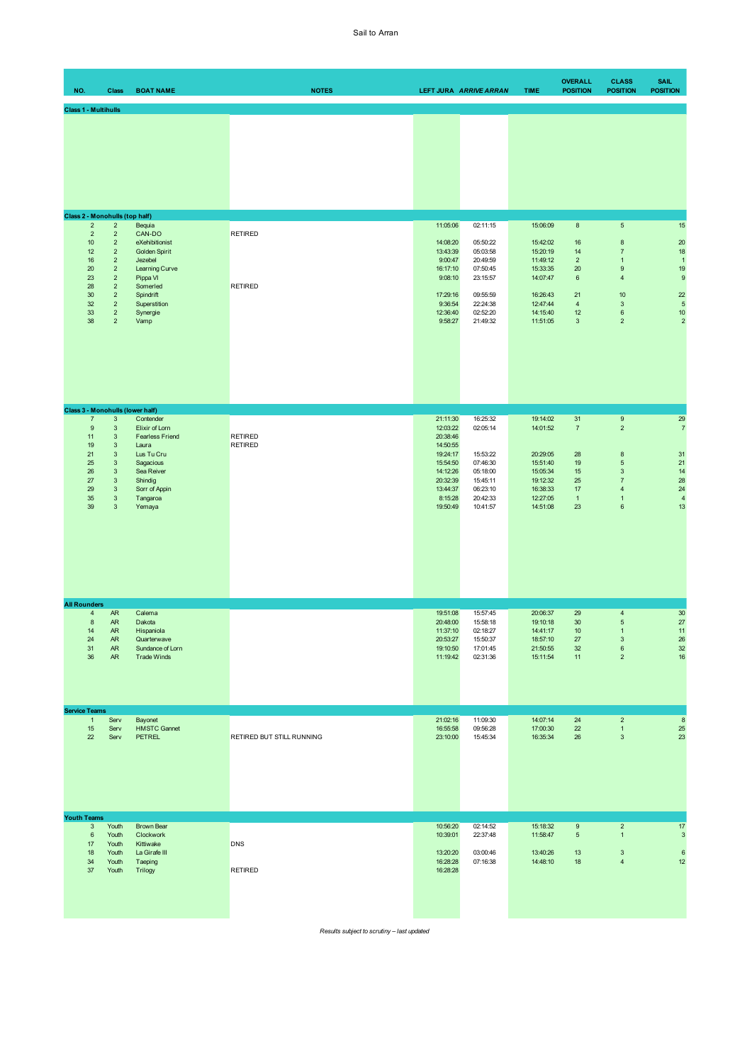| NO.                         |                                                                                                | <b>Class</b>                                                                                                                                                                                | <b>BOAT NAME</b>                                                                                                                                                                              | <b>NOTES</b>                     |                                                                                                                                 | LEFT JURA ARRIVE ARRAN                                                                                   | <b>TIME</b>                                                                                              | <b>OVERALL</b><br><b>POSITION</b>                                                             | <b>CLASS</b><br><b>POSITION</b>                                                                                                          | <b>SAIL</b><br><b>POSITION</b>                                                                       |
|-----------------------------|------------------------------------------------------------------------------------------------|---------------------------------------------------------------------------------------------------------------------------------------------------------------------------------------------|-----------------------------------------------------------------------------------------------------------------------------------------------------------------------------------------------|----------------------------------|---------------------------------------------------------------------------------------------------------------------------------|----------------------------------------------------------------------------------------------------------|----------------------------------------------------------------------------------------------------------|-----------------------------------------------------------------------------------------------|------------------------------------------------------------------------------------------------------------------------------------------|------------------------------------------------------------------------------------------------------|
| <b>Class 1 - Multihulls</b> |                                                                                                |                                                                                                                                                                                             |                                                                                                                                                                                               |                                  |                                                                                                                                 |                                                                                                          |                                                                                                          |                                                                                               |                                                                                                                                          |                                                                                                      |
|                             |                                                                                                |                                                                                                                                                                                             |                                                                                                                                                                                               |                                  |                                                                                                                                 |                                                                                                          |                                                                                                          |                                                                                               |                                                                                                                                          |                                                                                                      |
|                             | $\sqrt{2}$                                                                                     | Class 2 - Monohulls (top half)<br>$\overline{a}$                                                                                                                                            | Bequia                                                                                                                                                                                        |                                  | 11:05:06                                                                                                                        | 02:11:15                                                                                                 | 15:06:09                                                                                                 | $\bf8$                                                                                        | $\sqrt{5}$                                                                                                                               | 15                                                                                                   |
|                             | $\mathbf 2$<br>10<br>12<br>16<br>20<br>23<br>28<br>30<br>32<br>33<br>38                        | $\mathbf 2$<br>$\mathbf 2$<br>$\overline{2}$<br>$\mathbf 2$<br>$\mathbf 2$<br>$\overline{a}$<br>$\mathbf 2$<br>$\sqrt{2}$<br>$\overline{a}$<br>$\mathbf 2$<br>$\overline{2}$                | CAN-DO<br>eXehibitionist<br>Golden Spirit<br>Jezebel<br>Learning Curve<br>Pippa VI<br>Somerled<br>Spindrift<br>Superstition<br>Synergie<br>Vamp                                               | <b>RETIRED</b><br><b>RETIRED</b> | 14:08:20<br>13:43:39<br>9:00:47<br>16:17:10<br>9:08:10<br>17:29:16<br>9:36:54<br>12:36:40<br>9:58:27                            | 05:50:22<br>05:03:58<br>20:49:59<br>07:50:45<br>23:15:57<br>09:55:59<br>22:24:38<br>02:52:20<br>21:49:32 | 15:42:02<br>15:20:19<br>11:49:12<br>15:33:35<br>14:07:47<br>16:26:43<br>12:47:44<br>14:15:40<br>11:51:05 | 16<br>14<br>$\overline{2}$<br>$20\,$<br>$\,6\,$<br>21<br>$\overline{4}$<br>12<br>$\mathbf{3}$ | $\bf8$<br>$\overline{7}$<br>$\mathbf{1}$<br>$\boldsymbol{9}$<br>$\overline{4}$<br>10<br>$\ensuremath{\mathsf{3}}$<br>6<br>$\overline{2}$ | 20<br>18<br>$\overline{1}$<br>19<br>$\overline{9}$<br>22<br>$\overline{5}$<br>$10$<br>$\overline{c}$ |
|                             |                                                                                                |                                                                                                                                                                                             |                                                                                                                                                                                               |                                  |                                                                                                                                 |                                                                                                          |                                                                                                          |                                                                                               |                                                                                                                                          |                                                                                                      |
|                             | $\overline{\mathfrak{z}}$<br>$\mathsf g$<br>11<br>19<br>21<br>25<br>26<br>27<br>29<br>35<br>39 | $\ensuremath{\mathsf{3}}$<br>$\ensuremath{\mathsf{3}}$<br>$\mathbf{3}$<br>3<br>$\mathbf{3}$<br>3<br>$\ensuremath{\mathsf{3}}$<br>$\mathbf{3}$<br>$\sqrt{3}$<br>$\mathbf{3}$<br>$\mathbf{3}$ | Class 3 - Monohulls (lower half)<br>Contender<br>Elixir of Lorn<br><b>Fearless Friend</b><br>Laura<br>Lus Tu Cru<br>Sagacious<br>Sea Reiver<br>Shindig<br>Sorr of Appin<br>Tangaroa<br>Yemaya | <b>RETIRED</b><br><b>RETIRED</b> | 21:11:30<br>12:03:22<br>20:38:46<br>14:50:55<br>19:24:17<br>15:54:50<br>14:12:26<br>20:32:39<br>13:44:37<br>8:15:28<br>19:50:49 | 16:25:32<br>02:05:14<br>15:53:22<br>07:46:30<br>05:18:00<br>15:45:11<br>06:23:10<br>20:42:33<br>10:41:57 | 19:14:02<br>14:01:52<br>20:29:05<br>15:51:40<br>15:05:34<br>19:12:32<br>16:38:33<br>12:27:05<br>14:51:08 | 31<br>$\overline{7}$<br>$28\,$<br>19<br>$15\,$<br>25<br>$17$<br>$\overline{1}$<br>23          | $\boldsymbol{9}$<br>$\overline{c}$<br>$\bf8$<br>$\overline{5}$<br>$\mathsf 3$<br>$\overline{7}$<br>4<br>$\mathbf{1}$<br>$\bf 6$          | 29<br>$\overline{7}$<br>31<br>21<br>14<br>28<br>24<br>$\overline{4}$<br>13                           |
| <b>All Rounders</b>         |                                                                                                |                                                                                                                                                                                             |                                                                                                                                                                                               |                                  |                                                                                                                                 |                                                                                                          |                                                                                                          |                                                                                               |                                                                                                                                          |                                                                                                      |
|                             | $\overline{4}$<br>$\bf 8$<br>14<br>24<br>31<br>36                                              | AR<br>${\sf AR}$<br>${\sf AR}$<br><b>AR</b><br>${\sf AR}$<br>AR                                                                                                                             | Calema<br>Dakota<br>Hispaniola<br>Quarterwave<br>Sundance of Lorn<br><b>Trade Winds</b>                                                                                                       |                                  | 19:51:08<br>20:48:00<br>11:37:10<br>20:53:27<br>19:10:50<br>11:19:42                                                            | 15:57:45<br>15:58:18<br>02:18:27<br>15:50:37<br>17:01:45<br>02:31:36                                     | 20:06:37<br>19:10:18<br>14:41:17<br>18:57:10<br>21:50:55<br>15:11:54                                     | 29<br>30<br>10<br>$27\,$<br>32<br>11                                                          | $\overline{4}$<br>$\overline{5}$<br>$\mathbf{1}$<br>$\mathsf 3$<br>$\bf 6$<br>$\overline{2}$                                             | 30<br>27<br>11<br>26<br>32<br>16                                                                     |
| <b>Service Teams</b>        | $\mathbf{1}$                                                                                   | Serv                                                                                                                                                                                        | Bayonet                                                                                                                                                                                       |                                  | 21:02:16                                                                                                                        | 11:09:30                                                                                                 | 14:07:14                                                                                                 | 24                                                                                            | $\overline{2}$                                                                                                                           | $\bf8$                                                                                               |
|                             | 15<br>22                                                                                       | Serv<br>Serv                                                                                                                                                                                | <b>HMSTC Gannet</b><br><b>PETREL</b>                                                                                                                                                          | RETIRED BUT STILL RUNNING        | 16:55:58<br>23:10:00                                                                                                            | 09:56:28<br>15:45:34                                                                                     | 17:00:30<br>16:35:34                                                                                     | 22<br>26                                                                                      | $\mathbf{1}$<br>$\mathsf 3$                                                                                                              | 25<br>23                                                                                             |
| <b>Youth Teams</b>          |                                                                                                |                                                                                                                                                                                             |                                                                                                                                                                                               |                                  |                                                                                                                                 |                                                                                                          |                                                                                                          |                                                                                               |                                                                                                                                          |                                                                                                      |
|                             | $\sqrt{3}$<br>$\,6$<br>17<br>18<br>34<br>37                                                    | Youth<br>Youth<br>Youth<br>Youth<br>Youth<br>Youth                                                                                                                                          | Brown Bear<br>Clockwork<br>Kittiwake<br>La Girafe III<br>Taeping<br>Trilogy                                                                                                                   | <b>DNS</b><br><b>RETIRED</b>     | 10:56:20<br>10:39:01<br>13:20:20<br>16:28:28<br>16:28:28                                                                        | 02:14:52<br>22:37:48<br>03:00:46<br>07:16:38                                                             | 15:18:32<br>11:58:47<br>13:40:26<br>14:48:10                                                             | $\mathsf{9}$<br>$\sqrt{5}$<br>13<br>18                                                        | $\sqrt{2}$<br>$\mathbf{1}$<br>$\mathsf 3$<br>$\overline{\mathbf{4}}$                                                                     | 17<br>$\sqrt{3}$<br>$\boldsymbol{6}$<br>12                                                           |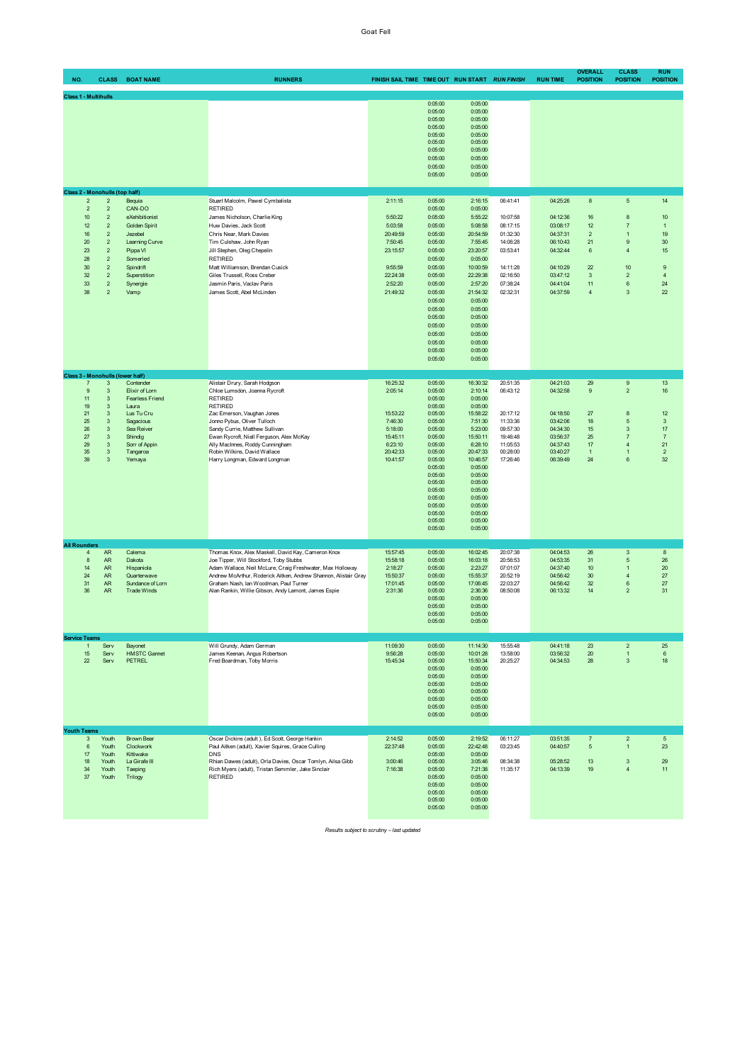| NO.                  | <b>CLASS</b>                                                                                                                                                                                                                                                                                          | <b>BOAT NAME</b>                                                                                                                                          | <b>RUNNERS</b>                                                                                                                                                                                                                                                                                                                                    | FINISH SAIL TIME TIME OUT RUN START RUN FINISH                                                                 |                                                                                                                                                                                                                          |                                                                                                                                                                                                                               |                                                                                                                      | <b>RUN TIME</b>                                                                                                      | <b>OVERALL</b><br><b>POSITION</b>                                                          | <b>CLASS</b><br><b>POSITION</b>                                                                                             | <b>RUN</b><br><b>POSITION</b>                                                              |
|----------------------|-------------------------------------------------------------------------------------------------------------------------------------------------------------------------------------------------------------------------------------------------------------------------------------------------------|-----------------------------------------------------------------------------------------------------------------------------------------------------------|---------------------------------------------------------------------------------------------------------------------------------------------------------------------------------------------------------------------------------------------------------------------------------------------------------------------------------------------------|----------------------------------------------------------------------------------------------------------------|--------------------------------------------------------------------------------------------------------------------------------------------------------------------------------------------------------------------------|-------------------------------------------------------------------------------------------------------------------------------------------------------------------------------------------------------------------------------|----------------------------------------------------------------------------------------------------------------------|----------------------------------------------------------------------------------------------------------------------|--------------------------------------------------------------------------------------------|-----------------------------------------------------------------------------------------------------------------------------|--------------------------------------------------------------------------------------------|
|                      | <b>Class 1 - Multihulls</b>                                                                                                                                                                                                                                                                           |                                                                                                                                                           |                                                                                                                                                                                                                                                                                                                                                   |                                                                                                                |                                                                                                                                                                                                                          |                                                                                                                                                                                                                               |                                                                                                                      |                                                                                                                      |                                                                                            |                                                                                                                             |                                                                                            |
|                      |                                                                                                                                                                                                                                                                                                       |                                                                                                                                                           |                                                                                                                                                                                                                                                                                                                                                   |                                                                                                                | 0:05:00<br>0:05:00<br>0:05:00<br>0:05:00<br>0:05:00<br>0:05:00<br>0:05:00<br>0:05:00<br>0:05:00<br>0:05:00                                                                                                               | 0:05:00<br>0:05:00<br>0:05:00<br>0:05:00<br>0:05:00<br>0:05:00<br>0:05:00<br>0:05:00<br>0:05:00<br>0:05:00                                                                                                                    |                                                                                                                      |                                                                                                                      |                                                                                            |                                                                                                                             |                                                                                            |
|                      | Class 2 - Monohulls (top half)                                                                                                                                                                                                                                                                        |                                                                                                                                                           |                                                                                                                                                                                                                                                                                                                                                   |                                                                                                                |                                                                                                                                                                                                                          |                                                                                                                                                                                                                               |                                                                                                                      |                                                                                                                      |                                                                                            |                                                                                                                             |                                                                                            |
|                      | $\overline{2}$<br>$\overline{c}$<br>$\overline{2}$<br>$\overline{2}$<br>10<br>$\mathbf 2$<br>12<br>$\sqrt{2}$<br>$\overline{\mathbf{c}}$<br>16<br>20<br>$\sqrt{2}$<br>$\overline{2}$<br>23<br>$\mathbf 2$<br>28<br>30<br>$\sqrt{2}$<br>32<br>$\mathbf 2$<br>33<br>$\mathbf 2$<br>38<br>$\overline{2}$ | Bequia<br>CAN-DO<br>eXehibitionist<br>Golden Spirit<br>Jezebel<br>Learning Curve<br>Pippa VI<br>Somerled<br>Spindrift<br>Superstition<br>Synergie<br>Vamp | Stuart Malcolm, Pawel Cymbalista<br><b>RETIRED</b><br>James Nicholson, Charlie King<br>Huw Davies, Jack Scott<br>Chris Near, Mark Davies<br>Tim Culshaw, John Ryan<br>Jill Stephen, Oleg Chepelin<br><b>RETIRED</b><br>Matt Williamson, Brendan Cusick<br>Giles Trussell, Ross Creber<br>Jasmin Paris, Vaclav Paris<br>James Scott, Abel McLinden | 2:11:15<br>5:50:22<br>5:03:58<br>20:49:59<br>7:50:45<br>23:15:57<br>9:55:59<br>22:24:38<br>2:52:20<br>21:49:32 | 0:05:00<br>0:05:00<br>0:05:00<br>0:05:00<br>0:05:00<br>0:05:00<br>0:05:00<br>0:05:00<br>0:05:00<br>0:05:00<br>0:05:00<br>0:05:00<br>0:05:00<br>0:05:00<br>0:05:00<br>0:05:00<br>0:05:00<br>0:05:00<br>0:05:00<br>0:05:00 | 2:16:15<br>0:05:00<br>5:55:22<br>5:08:58<br>20:54:59<br>7:55:45<br>23:20:57<br>0:05:00<br>10:00:59<br>22:29:38<br>2:57:20<br>21:54:32<br>0:05:00<br>0:05:00<br>0:05:00<br>0:05:00<br>0:05:00<br>0:05:00<br>0:05:00<br>0:05:00 | 06:41:41<br>10:07:58<br>08:17:15<br>01:32:30<br>14:06:28<br>03:53:41<br>14:11:28<br>02:16:50<br>07:38:24<br>02:32:31 | 04:25:26<br>04:12:36<br>03:08:17<br>04:37:31<br>06:10:43<br>04:32:44<br>04:10:29<br>03:47:12<br>04:41:04<br>04:37:59 | $\bf8$<br>16<br>12<br>$\mathbf 2$<br>21<br>6<br>22<br>$\mathbf{3}$<br>11<br>$\overline{4}$ | $\overline{5}$<br>8<br>$\overline{7}$<br>$\overline{1}$<br>9<br>$\overline{4}$<br>10<br>$\overline{2}$<br>6<br>$\mathbf{3}$ | 14<br>10<br>$\mathbf{1}$<br>19<br>30<br>15<br>$\overline{9}$<br>$\overline{4}$<br>24<br>22 |
|                      | Class 3 - Monohulls (lower half)                                                                                                                                                                                                                                                                      |                                                                                                                                                           |                                                                                                                                                                                                                                                                                                                                                   |                                                                                                                |                                                                                                                                                                                                                          |                                                                                                                                                                                                                               |                                                                                                                      |                                                                                                                      |                                                                                            |                                                                                                                             |                                                                                            |
|                      | $\overline{7}$<br>$\mathbf{3}$<br>9<br>$\mathbf{3}$<br>11<br>$\mathbf{3}$<br>19<br>$\sqrt{3}$<br>21<br>$\sqrt{3}$<br>25<br>$\sqrt{3}$<br>26<br>$\sqrt{3}$<br>27<br>$\sqrt{3}$<br>29<br>$\sqrt{3}$<br>35<br>$\sqrt{3}$<br>39<br>3                                                                      | Contender<br>Elixir of Lorn<br><b>Fearless Friend</b><br>Laura<br>Lus Tu Cru<br>Sagacious<br>Sea Reiver<br>Shindig<br>Sorr of Appin<br>Tangaroa<br>Yemaya | Alistair Drury, Sarah Hodgson<br>Chloe Lumsdon, Joanna Rycroft<br><b>RETIRED</b><br><b>RETIRED</b><br>Zac Emerson, Vaughan Jones<br>Jonno Pybus, Oliver Tulloch<br>Sandy Currie, Matthew Sullivan<br>Ewan Rycroft, Niall Ferguson, Alex McKay<br>Ally MacInnes, Roddy Cunningham<br>Robin Wilkins, David Wallace<br>Harry Longman, Edward Longman | 16:25:32<br>2:05:14<br>15:53:22<br>7:46:30<br>5:18:00<br>15:45:11<br>6:23:10<br>20:42:33<br>10:41:57           | 0:05:00<br>0:05:00<br>0:05:00<br>0:05:00<br>0:05:00<br>0:05:00<br>0:05:00<br>0:05:00<br>0:05:00<br>0:05:00<br>0:05:00<br>0:05:00<br>0:05:00<br>0:05:00<br>0:05:00<br>0:05:00<br>0:05:00<br>0:05:00<br>0:05:00<br>0:05:00 | 16:30:32<br>2:10:14<br>0:05:00<br>0:05:00<br>15:58:22<br>7:51:30<br>5:23:00<br>15:50:11<br>6:28:10<br>20:47:33<br>10:46:57<br>0:05:00<br>0:05:00<br>0:05:00<br>0:05:00<br>0:05:00<br>0:05:00<br>0:05:00<br>0:05:00<br>0:05:00 | 20:51:35<br>06:43:12<br>20:17:12<br>11:33:36<br>09:57:30<br>19:46:48<br>11:05:53<br>00:28:00<br>17:26:46             | 04:21:03<br>04:32:58<br>04:18:50<br>03:42:06<br>04:34:30<br>03:56:37<br>04:37:43<br>03:40:27<br>06:39:49             | 29<br>$\mathsf g$<br>27<br>18<br>15<br>25<br>17<br>$\mathbf{1}$<br>24                      | 9<br>$\overline{2}$<br>8<br>$\overline{5}$<br>$\mathbf{3}$<br>$\overline{7}$<br>$\overline{4}$<br>$\mathbf{1}$<br>6         | 13<br>16<br>12<br>$\mathbf{3}$<br>17<br>$\overline{7}$<br>21<br>$\sqrt{2}$<br>32           |
| <b>All Rounders</b>  | $\overline{4}$<br>AR                                                                                                                                                                                                                                                                                  | Calema                                                                                                                                                    | Thomas Knox, Alex Maskell, David Kay, Cameron Knox                                                                                                                                                                                                                                                                                                | 15:57:45                                                                                                       | 0:05:00                                                                                                                                                                                                                  | 16:02:45                                                                                                                                                                                                                      | 20:07:38                                                                                                             | 04:04:53                                                                                                             | 26                                                                                         | $\mathsf 3$                                                                                                                 | $\bf8$                                                                                     |
|                      | $^{\rm 8}$<br>AR<br>14<br>AR<br>24<br>AR<br>31<br>AR<br>36<br>AR                                                                                                                                                                                                                                      | Dakota<br>Hispaniola<br>Quarterwave<br>Sundance of Lorn<br><b>Trade Winds</b>                                                                             | Joe Tipper, Will Stockford, Toby Stubbs<br>Adam Wallace, Neil McLure, Craig Freshwater, Max Holloway<br>Andrew McArthur, Roderick Aitken, Andrew Shannon, Alistair Gray<br>Graham Nash, Ian Woodman, Paul Turner<br>Alan Rankin, Willie Gibson, Andy Lamont, James Espie                                                                          | 15:58:18<br>2:18:27<br>15:50:37<br>17:01:45<br>2:31:36                                                         | 0:05:00<br>0:05:00<br>0:05:00<br>0:05:00<br>0:05:00<br>0:05:00<br>0:05:00<br>0:05:00<br>0:05:00                                                                                                                          | 16:03:18<br>2:23:27<br>15:55:37<br>17:06:45<br>2:36:36<br>0:05:00<br>0:05:00<br>0:05:00<br>0:05:00                                                                                                                            | 20:56:53<br>07:01:07<br>20:52:19<br>22:03:27<br>08:50:08                                                             | 04:53:35<br>04:37:40<br>04:56:42<br>04:56:42<br>06:13:32                                                             | 31<br>10<br>30<br>32<br>14                                                                 | $\mathbf 5$<br>$\mathbf{1}$<br>$\overline{4}$<br>6<br>$\overline{2}$                                                        | 26<br>20<br>27<br>27<br>31                                                                 |
| <b>Service Teams</b> | $\mathbf{1}$<br>Serv                                                                                                                                                                                                                                                                                  | Bayonet                                                                                                                                                   | Will Grundy, Adam German                                                                                                                                                                                                                                                                                                                          | 11:09:30                                                                                                       | 0:05:00                                                                                                                                                                                                                  | 11:14:30                                                                                                                                                                                                                      | 15:55:48                                                                                                             | 04:41:18                                                                                                             | 23                                                                                         | $\mathbf 2$                                                                                                                 | 25                                                                                         |
| <b>Youth Teams</b>   | 15<br>Serv<br>22<br>Serv                                                                                                                                                                                                                                                                              | <b>HMSTC Gannet</b><br>PETREL                                                                                                                             | James Keenan, Angus Robertson<br>Fred Boardman, Toby Morris                                                                                                                                                                                                                                                                                       | 9:56:28<br>15:45:34                                                                                            | 0:05:00<br>0:05:00<br>0:05:00<br>0:05:00<br>0:05:00<br>0:05:00<br>0:05:00<br>0:05:00<br>0:05:00                                                                                                                          | 10:01:28<br>15:50:34<br>0:05:00<br>0:05:00<br>0:05:00<br>0:05:00<br>0:05:00<br>0:05:00<br>0:05:00                                                                                                                             | 13:58:00<br>20:25:27                                                                                                 | 03:56:32<br>04:34:53                                                                                                 | $20\,$<br>28                                                                               | $\mathbf{1}$<br>$\mathbf{3}$                                                                                                | $\,6\,$<br>18                                                                              |
|                      | $\mathbf{3}$<br>Youth                                                                                                                                                                                                                                                                                 | <b>Brown Bear</b>                                                                                                                                         | Oscar Dickins (adult), Ed Scott, George Hankin                                                                                                                                                                                                                                                                                                    | 2:14:52                                                                                                        | 0:05:00                                                                                                                                                                                                                  | 2:19:52                                                                                                                                                                                                                       | 06:11:27                                                                                                             | 03:51:35                                                                                                             | $\overline{7}$                                                                             | $\overline{2}$                                                                                                              | $5\phantom{.0}$                                                                            |
|                      | Youth<br>6<br>17<br>Youth<br>18<br>Youth<br>34<br>Youth<br>37<br>Youth                                                                                                                                                                                                                                | Clockwork<br>Kittiwake<br>La Girafe III<br>Taeping<br>Trilogy                                                                                             | Paul Aitken (adult), Xavier Squires, Grace Culling<br><b>DNS</b><br>Rhian Dawes (adult), Orla Davies, Oscar Tomlyn, Ailsa Gibb<br>Rich Myers (adult), Tristan Semmler, Jake Sinclair<br><b>RETIRED</b>                                                                                                                                            | 22:37:48<br>3:00:46<br>7:16:38                                                                                 | 0:05:00<br>0:05:00<br>0:05:00<br>0:05:00<br>0:05:00<br>0:05:00<br>0:05:00<br>0:05:00<br>0:05:00                                                                                                                          | 22:42:48<br>0:05:00<br>3:05:46<br>7:21:38<br>0:05:00<br>0:05:00<br>0:05:00<br>0:05:00<br>0:05:00                                                                                                                              | 03:23:45<br>08:34:38<br>11:35:17                                                                                     | 04:40:57<br>05:28:52<br>04:13:39                                                                                     | $5\phantom{.0}$<br>13<br>19                                                                | $\mathbf{1}$<br>$\mathbf{3}$<br>$\overline{4}$                                                                              | 23<br>29<br>11                                                                             |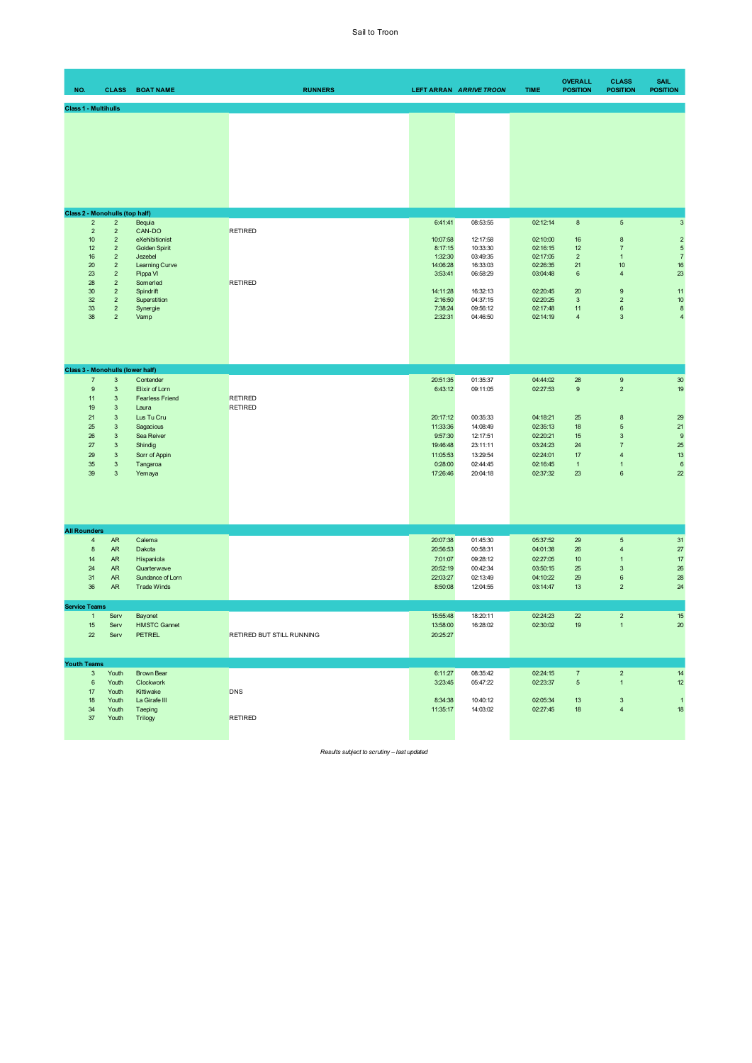| NO. |                                                                           | <b>CLASS</b>                                                                                                                                                                                       | <b>BOAT NAME</b>                                                                                                                                          | <b>RUNNERS</b>                   |                                                                                                       | LEFT ARRAN ARRIVE TROON                                                                                  | <b>TIME</b>                                                                                              | <b>OVERALL</b><br><b>POSITION</b>                                                                | <b>CLASS</b><br><b>POSITION</b>                                                                                                               | <b>SAIL</b><br><b>POSITION</b>                                                                 |
|-----|---------------------------------------------------------------------------|----------------------------------------------------------------------------------------------------------------------------------------------------------------------------------------------------|-----------------------------------------------------------------------------------------------------------------------------------------------------------|----------------------------------|-------------------------------------------------------------------------------------------------------|----------------------------------------------------------------------------------------------------------|----------------------------------------------------------------------------------------------------------|--------------------------------------------------------------------------------------------------|-----------------------------------------------------------------------------------------------------------------------------------------------|------------------------------------------------------------------------------------------------|
|     | <b>Class 1 - Multihulls</b>                                               |                                                                                                                                                                                                    |                                                                                                                                                           |                                  |                                                                                                       |                                                                                                          |                                                                                                          |                                                                                                  |                                                                                                                                               |                                                                                                |
|     |                                                                           |                                                                                                                                                                                                    |                                                                                                                                                           |                                  |                                                                                                       |                                                                                                          |                                                                                                          |                                                                                                  |                                                                                                                                               |                                                                                                |
|     | $\overline{2}$                                                            | Class 2 - Monohulls (top half)<br>$\overline{2}$                                                                                                                                                   | Bequia                                                                                                                                                    |                                  | 6:41:41                                                                                               | 08:53:55                                                                                                 | 02:12:14                                                                                                 | $\bf8$                                                                                           | $\,$ 5 $\,$                                                                                                                                   | 3                                                                                              |
|     | $\sqrt{2}$<br>10<br>12<br>16<br>20<br>23<br>28<br>30<br>32<br>33<br>38    | $\overline{2}$<br>$\overline{2}$<br>$\overline{2}$<br>$\overline{2}$<br>$\overline{2}$<br>$\overline{2}$<br>$\overline{2}$<br>$\overline{2}$<br>$\overline{2}$<br>$\overline{2}$<br>$\overline{2}$ | CAN-DO<br>eXehibitionist<br><b>Golden Spirit</b><br>Jezebel<br>Learning Curve<br>Pippa VI<br>Somerled<br>Spindrift<br>Superstition<br>Synergie<br>Vamp    | <b>RETIRED</b><br><b>RETIRED</b> | 10:07:58<br>8:17:15<br>1:32:30<br>14:06:28<br>3:53:41<br>14:11:28<br>2:16:50<br>7:38:24<br>2:32:31    | 12:17:58<br>10:33:30<br>03:49:35<br>16:33:03<br>06:58:29<br>16:32:13<br>04:37:15<br>09:56:12<br>04:46:50 | 02:10:00<br>02:16:15<br>02:17:05<br>02:26:35<br>03:04:48<br>02:20:45<br>02:20:25<br>02:17:48<br>02:14:19 | 16<br>12<br>$\overline{2}$<br>21<br>6<br>20<br>$\ensuremath{\mathsf{3}}$<br>11<br>$\overline{4}$ | 8<br>$\overline{\mathfrak{z}}$<br>$\mathbf{1}$<br>$10$<br>$\overline{4}$<br>$\boldsymbol{9}$<br>$\sqrt{2}$<br>$\boldsymbol{6}$<br>3           | $\overline{c}$<br>$\sqrt{5}$<br>$\sqrt{7}$<br>16<br>23<br>11<br>10<br>$\bf8$<br>$\overline{4}$ |
|     |                                                                           |                                                                                                                                                                                                    | Class 3 - Monohulls (lower half)                                                                                                                          |                                  |                                                                                                       |                                                                                                          |                                                                                                          |                                                                                                  |                                                                                                                                               |                                                                                                |
|     | $\overline{7}$<br>9<br>11<br>19<br>21<br>25<br>26<br>27<br>29<br>35<br>39 | $\mathbf{3}$<br>3<br>$\mathbf{3}$<br>$\mathbf{3}$<br>$\mathbf{3}$<br>$\mathbf{3}$<br>$\mathbf{3}$<br>$\mathbf{3}$<br>$\mathbf{3}$<br>$\mathbf{3}$<br>$\mathbf{3}$                                  | Contender<br>Elixir of Lorn<br><b>Fearless Friend</b><br>Laura<br>Lus Tu Cru<br>Sagacious<br>Sea Reiver<br>Shindig<br>Sorr of Appin<br>Tangaroa<br>Yemaya | <b>RETIRED</b><br><b>RETIRED</b> | 20:51:35<br>6:43:12<br>20:17:12<br>11:33:36<br>9:57:30<br>19:46:48<br>11:05:53<br>0:28:00<br>17:26:46 | 01:35:37<br>09:11:05<br>00:35:33<br>14:08:49<br>12:17:51<br>23:11:11<br>13:29:54<br>02:44:45<br>20:04:18 | 04:44:02<br>02:27:53<br>04:18:21<br>02:35:13<br>02:20:21<br>03:24:23<br>02:24:01<br>02:16:45<br>02:37:32 | 28<br>$\boldsymbol{9}$<br>25<br>18<br>15<br>24<br>17<br>$\mathbf{1}$<br>23                       | $\boldsymbol{9}$<br>$\sqrt{2}$<br>8<br>$\sqrt{5}$<br>$\ensuremath{\mathsf{3}}$<br>$\overline{7}$<br>$\overline{4}$<br>$\mathbf{1}$<br>$\,6\,$ | 30<br>19<br>29<br>21<br>$\boldsymbol{9}$<br>25<br>13<br>$\boldsymbol{6}$<br>22                 |
|     | <b>All Rounders</b>                                                       |                                                                                                                                                                                                    |                                                                                                                                                           |                                  |                                                                                                       |                                                                                                          |                                                                                                          |                                                                                                  |                                                                                                                                               |                                                                                                |
|     | $\overline{4}$<br>$\bf8$<br>14<br>24<br>31<br>36                          | AR<br><b>AR</b><br><b>AR</b><br><b>AR</b><br><b>AR</b><br><b>AR</b>                                                                                                                                | Calema<br>Dakota<br>Hispaniola<br>Quarterwave<br>Sundance of Lorn<br><b>Trade Winds</b>                                                                   |                                  | 20:07:38<br>20:56:53<br>7:01:07<br>20:52:19<br>22:03:27<br>8:50:08                                    | 01:45:30<br>00:58:31<br>09:28:12<br>00:42:34<br>02:13:49<br>12:04:55                                     | 05:37:52<br>04:01:38<br>02:27:05<br>03:50:15<br>04:10:22<br>03:14:47                                     | 29<br>$26\,$<br>$10$<br>25<br>29<br>13                                                           | $\sqrt{5}$<br>$\overline{4}$<br>$\mathbf{1}$<br>$\ensuremath{\mathsf{3}}$<br>$\mathbf 6$<br>$\sqrt{2}$                                        | 31<br>27<br>17<br>26<br>28<br>24                                                               |
|     | <b>Service Teams</b>                                                      |                                                                                                                                                                                                    |                                                                                                                                                           |                                  |                                                                                                       |                                                                                                          |                                                                                                          |                                                                                                  |                                                                                                                                               |                                                                                                |
|     | $\overline{1}$<br>15<br>22                                                | Serv<br>Serv<br>Serv                                                                                                                                                                               | Bayonet<br><b>HMSTC Gannet</b><br><b>PETREL</b>                                                                                                           | RETIRED BUT STILL RUNNING        | 15:55:48<br>13:58:00<br>20:25:27                                                                      | 18:20:11<br>16:28:02                                                                                     | 02:24:23<br>02:30:02                                                                                     | 22<br>19                                                                                         | $\sqrt{2}$<br>$\mathbf{1}$                                                                                                                    | 15<br>20                                                                                       |
|     | <b>Youth Teams</b>                                                        |                                                                                                                                                                                                    |                                                                                                                                                           |                                  |                                                                                                       |                                                                                                          |                                                                                                          |                                                                                                  |                                                                                                                                               |                                                                                                |
|     | $\mathbf{3}$<br>6<br>17<br>$18$<br>34<br>37                               | Youth<br>Youth<br>Youth<br>Youth<br>Youth<br>Youth                                                                                                                                                 | <b>Brown Bear</b><br>Clockwork<br>Kittiwake<br>La Girafe III<br>Taeping<br>Trilogy                                                                        | <b>DNS</b><br><b>RETIRED</b>     | 6:11:27<br>3:23:45<br>8:34:38<br>11:35:17                                                             | 08:35:42<br>05:47:22<br>10:40:12<br>14:03:02                                                             | 02:24:15<br>02:23:37<br>02:05:34<br>02:27:45                                                             | $\overline{\mathcal{I}}$<br>$\overline{5}$<br>13<br>18                                           | $\sqrt{2}$<br>$\mathbf{1}$<br>$\ensuremath{\mathsf{3}}$<br>$\overline{4}$                                                                     | 14<br>12<br>$\bullet$<br>18                                                                    |
|     |                                                                           |                                                                                                                                                                                                    |                                                                                                                                                           |                                  |                                                                                                       |                                                                                                          |                                                                                                          |                                                                                                  |                                                                                                                                               |                                                                                                |